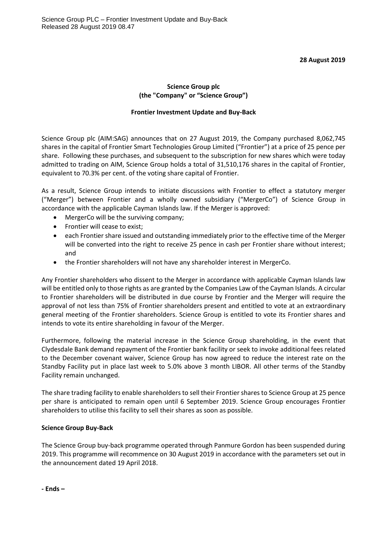### **28 August 2019**

# **Science Group plc (the "Company" or "Science Group")**

## **Frontier Investment Update and Buy-Back**

Science Group plc (AIM:SAG) announces that on 27 August 2019, the Company purchased 8,062,745 shares in the capital of Frontier Smart Technologies Group Limited ("Frontier") at a price of 25 pence per share. Following these purchases, and subsequent to the subscription for new shares which were today admitted to trading on AIM, Science Group holds a total of 31,510,176 shares in the capital of Frontier, equivalent to 70.3% per cent. of the voting share capital of Frontier.

As a result, Science Group intends to initiate discussions with Frontier to effect a statutory merger ("Merger") between Frontier and a wholly owned subsidiary ("MergerCo") of Science Group in accordance with the applicable Cayman Islands law. If the Merger is approved:

- MergerCo will be the surviving company;
- Frontier will cease to exist;
- each Frontier share issued and outstanding immediately prior to the effective time of the Merger will be converted into the right to receive 25 pence in cash per Frontier share without interest; and
- the Frontier shareholders will not have any shareholder interest in MergerCo.

Any Frontier shareholders who dissent to the Merger in accordance with applicable Cayman Islands law will be entitled only to those rights as are granted by the Companies Law of the Cayman Islands. A circular to Frontier shareholders will be distributed in due course by Frontier and the Merger will require the approval of not less than 75% of Frontier shareholders present and entitled to vote at an extraordinary general meeting of the Frontier shareholders. Science Group is entitled to vote its Frontier shares and intends to vote its entire shareholding in favour of the Merger.

Furthermore, following the material increase in the Science Group shareholding, in the event that Clydesdale Bank demand repayment of the Frontier bank facility or seek to invoke additional fees related to the December covenant waiver, Science Group has now agreed to reduce the interest rate on the Standby Facility put in place last week to 5.0% above 3 month LIBOR. All other terms of the Standby Facility remain unchanged.

The share trading facility to enable shareholders to sell their Frontier shares to Science Group at 25 pence per share is anticipated to remain open until 6 September 2019. Science Group encourages Frontier shareholders to utilise this facility to sell their shares as soon as possible.

## **Science Group Buy-Back**

The Science Group buy-back programme operated through Panmure Gordon has been suspended during 2019. This programme will recommence on 30 August 2019 in accordance with the parameters set out in the announcement dated 19 April 2018.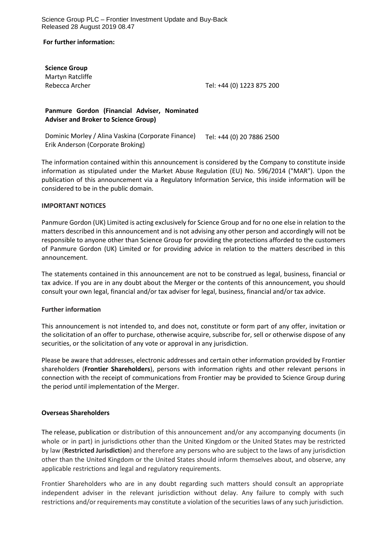Science Group PLC – Frontier Investment Update and Buy-Back Released 28 August 2019 08.47

**For further information:**

**Science Group** Martyn Ratcliffe

Rebecca Archer Tel: +44 (0) 1223 875 200

## **Panmure Gordon (Financial Adviser, Nominated Adviser and Broker to Science Group)**

Dominic Morley / Alina Vaskina (Corporate Finance) Erik Anderson (Corporate Broking) Tel: +44 (0) 20 7886 2500

The information contained within this announcement is considered by the Company to constitute inside information as stipulated under the Market Abuse Regulation (EU) No. 596/2014 ("MAR"). Upon the publication of this announcement via a Regulatory Information Service, this inside information will be considered to be in the public domain.

### **IMPORTANT NOTICES**

Panmure Gordon (UK) Limited is acting exclusively for Science Group and for no one else in relation to the matters described in this announcement and is not advising any other person and accordingly will not be responsible to anyone other than Science Group for providing the protections afforded to the customers of Panmure Gordon (UK) Limited or for providing advice in relation to the matters described in this announcement.

The statements contained in this announcement are not to be construed as legal, business, financial or tax advice. If you are in any doubt about the Merger or the contents of this announcement, you should consult your own legal, financial and/or tax adviser for legal, business, financial and/or tax advice.

### **Further information**

This announcement is not intended to, and does not, constitute or form part of any offer, invitation or the solicitation of an offer to purchase, otherwise acquire, subscribe for, sell or otherwise dispose of any securities, or the solicitation of any vote or approval in any jurisdiction.

Please be aware that addresses, electronic addresses and certain other information provided by Frontier shareholders (**Frontier Shareholders**), persons with information rights and other relevant persons in connection with the receipt of communications from Frontier may be provided to Science Group during the period until implementation of the Merger.

### **Overseas Shareholders**

The release, publication or distribution of this announcement and/or any accompanying documents (in whole or in part) in jurisdictions other than the United Kingdom or the United States may be restricted by law (**Restricted Jurisdiction**) and therefore any persons who are subject to the laws of any jurisdiction other than the United Kingdom or the United States should inform themselves about, and observe, any applicable restrictions and legal and regulatory requirements.

Frontier Shareholders who are in any doubt regarding such matters should consult an appropriate independent adviser in the relevant jurisdiction without delay. Any failure to comply with such restrictions and/or requirements may constitute a violation of the securities laws of any such jurisdiction.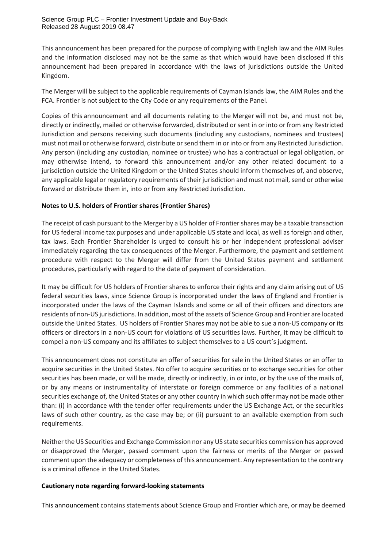This announcement has been prepared for the purpose of complying with English law and the AIM Rules and the information disclosed may not be the same as that which would have been disclosed if this announcement had been prepared in accordance with the laws of jurisdictions outside the United Kingdom.

The Merger will be subject to the applicable requirements of Cayman Islands law, the AIM Rules and the FCA. Frontier is not subject to the City Code or any requirements of the Panel.

Copies of this announcement and all documents relating to the Merger will not be, and must not be, directly or indirectly, mailed or otherwise forwarded, distributed orsent in or into or from any Restricted Jurisdiction and persons receiving such documents (including any custodians, nominees and trustees) must not mail or otherwise forward, distribute or send them in or into or from any Restricted Jurisdiction. Any person (including any custodian, nominee or trustee) who has a contractual or legal obligation, or may otherwise intend, to forward this announcement and/or any other related document to a jurisdiction outside the United Kingdom or the United States should inform themselves of, and observe, any applicable legal or regulatory requirements of their jurisdiction and must not mail, send or otherwise forward or distribute them in, into or from any Restricted Jurisdiction.

## **Notes to U.S. holders of Frontier shares (Frontier Shares)**

The receipt of cash pursuant to the Merger by a US holder of Frontier shares may be a taxable transaction for US federal income tax purposes and under applicable US state and local, as well as foreign and other, tax laws. Each Frontier Shareholder is urged to consult his or her independent professional adviser immediately regarding the tax consequences of the Merger. Furthermore, the payment and settlement procedure with respect to the Merger will differ from the United States payment and settlement procedures, particularly with regard to the date of payment of consideration.

It may be difficult for US holders of Frontier shares to enforce their rights and any claim arising out of US federal securities laws, since Science Group is incorporated under the laws of England and Frontier is incorporated under the laws of the Cayman Islands and some or all of their officers and directors are residents of non-US jurisdictions. In addition, most of the assets of Science Group and Frontier are located outside the United States. US holders of Frontier Shares may not be able to sue a non-US company or its officers or directors in a non-US court for violations of US securities laws. Further, it may be difficult to compel a non-US company and its affiliates to subject themselves to a US court's judgment.

This announcement does not constitute an offer of securities for sale in the United States or an offer to acquire securities in the United States. No offer to acquire securities or to exchange securities for other securities has been made, or will be made, directly or indirectly, in or into, or by the use of the mails of, or by any means or instrumentality of interstate or foreign commerce or any facilities of a national securities exchange of, the United States or any other country in which such offer may not be made other than: (i) in accordance with the tender offer requirements under the US Exchange Act, or the securities laws of such other country, as the case may be; or (ii) pursuant to an available exemption from such requirements.

Neither the US Securities and Exchange Commission nor any US state securities commission has approved or disapproved the Merger, passed comment upon the fairness or merits of the Merger or passed comment upon the adequacy or completeness of this announcement. Any representation to the contrary is a criminal offence in the United States.

## **Cautionary note regarding forward-looking statements**

This announcement contains statements about Science Group and Frontier which are, or may be deemed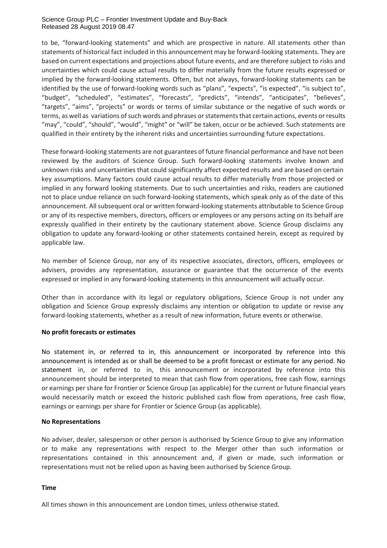#### Science Group PLC – Frontier Investment Update and Buy-Back Released 28 August 2019 08.47

to be, "forward-looking statements" and which are prospective in nature. All statements other than statements of historical fact included in this announcement may be forward-looking statements. They are based on current expectations and projections about future events, and are therefore subject to risks and uncertainties which could cause actual results to differ materially from the future results expressed or implied by the forward-looking statements. Often, but not always, forward-looking statements can be identified by the use of forward-looking words such as "plans", "expects", "is expected", "is subject to", "budget", "scheduled", "estimates", "forecasts", "predicts", "intends", "anticipates", "believes", "targets", "aims", "projects" or words or terms of similar substance or the negative of such words or terms, as well as variations of such words and phrases or statements that certain actions, events or results "may", "could", "should", "would", "might" or "will" be taken, occur or be achieved. Such statements are qualified in their entirety by the inherent risks and uncertainties surrounding future expectations.

These forward-looking statements are not guarantees of future financial performance and have not been reviewed by the auditors of Science Group. Such forward-looking statements involve known and unknown risks and uncertainties that could significantly affect expected results and are based on certain key assumptions. Many factors could cause actual results to differ materially from those projected or implied in any forward looking statements. Due to such uncertainties and risks, readers are cautioned not to place undue reliance on such forward-looking statements, which speak only as of the date of this announcement. All subsequent oral or written forward-looking statements attributable to Science Group or any of its respective members, directors, officers or employees or any persons acting on its behalf are expressly qualified in their entirety by the cautionary statement above. Science Group disclaims any obligation to update any forward-looking or other statements contained herein, except as required by applicable law.

No member of Science Group, nor any of its respective associates, directors, officers, employees or advisers, provides any representation, assurance or guarantee that the occurrence of the events expressed or implied in any forward-looking statements in this announcement will actually occur.

Other than in accordance with its legal or regulatory obligations, Science Group is not under any obligation and Science Group expressly disclaims any intention or obligation to update or revise any forward-looking statements, whether as a result of new information, future events or otherwise.

### **No profit forecasts or estimates**

No statement in, or referred to in, this announcement or incorporated by reference into this announcement is intended as or shall be deemed to be a profit forecast or estimate for any period. No statement in, or referred to in, this announcement or incorporated by reference into this announcement should be interpreted to mean that cash flow from operations, free cash flow, earnings or earnings per share for Frontier or Science Group (as applicable) for the current or future financial years would necessarily match or exceed the historic published cash flow from operations, free cash flow, earnings or earnings per share for Frontier or Science Group (as applicable).

## **No Representations**

No adviser, dealer, salesperson or other person is authorised by Science Group to give any information or to make any representations with respect to the Merger other than such information or representations contained in this announcement and, if given or made, such information or representations must not be relied upon as having been authorised by Science Group.

### **Time**

All times shown in this announcement are London times, unless otherwise stated.